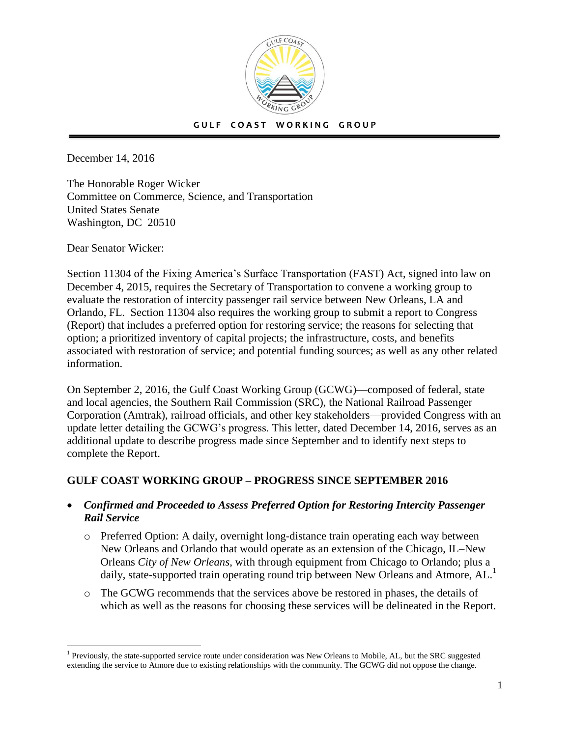

December 14, 2016

The Honorable Roger Wicker Committee on Commerce, Science, and Transportation United States Senate Washington, DC 20510

Dear Senator Wicker:

 $\overline{a}$ 

Section 11304 of the Fixing America's Surface Transportation (FAST) Act, signed into law on December 4, 2015, requires the Secretary of Transportation to convene a working group to evaluate the restoration of intercity passenger rail service between New Orleans, LA and Orlando, FL. Section 11304 also requires the working group to submit a report to Congress (Report) that includes a preferred option for restoring service; the reasons for selecting that option; a prioritized inventory of capital projects; the infrastructure, costs, and benefits associated with restoration of service; and potential funding sources; as well as any other related information.

On September 2, 2016, the Gulf Coast Working Group (GCWG)—composed of federal, state and local agencies, the Southern Rail Commission (SRC), the National Railroad Passenger Corporation (Amtrak), railroad officials, and other key stakeholders—provided Congress with an update letter detailing the GCWG's progress. This letter, dated December 14, 2016, serves as an additional update to describe progress made since September and to identify next steps to complete the Report.

## **GULF COAST WORKING GROUP – PROGRESS SINCE SEPTEMBER 2016**

- *Confirmed and Proceeded to Assess Preferred Option for Restoring Intercity Passenger Rail Service*
	- o Preferred Option: A daily, overnight long-distance train operating each way between New Orleans and Orlando that would operate as an extension of the Chicago, IL–New Orleans *City of New Orleans*, with through equipment from Chicago to Orlando; plus a daily, state-supported train operating round trip between New Orleans and Atmore, AL.<sup>1</sup>
	- o The GCWG recommends that the services above be restored in phases, the details of which as well as the reasons for choosing these services will be delineated in the Report.

<sup>&</sup>lt;sup>1</sup> Previously, the state-supported service route under consideration was New Orleans to Mobile, AL, but the SRC suggested extending the service to Atmore due to existing relationships with the community. The GCWG did not oppose the change.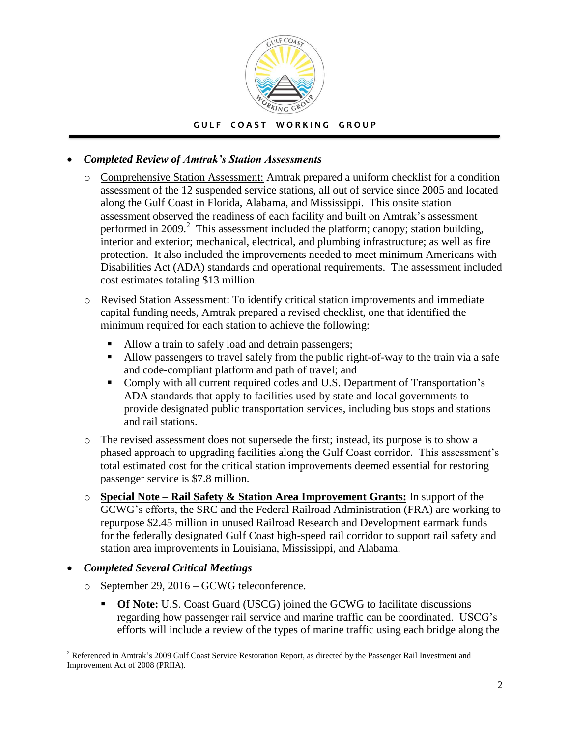

## *Completed Review of Amtrak's Station Assessments*

- o Comprehensive Station Assessment: Amtrak prepared a uniform checklist for a condition assessment of the 12 suspended service stations, all out of service since 2005 and located along the Gulf Coast in Florida, Alabama, and Mississippi. This onsite station assessment observed the readiness of each facility and built on Amtrak's assessment performed in 2009.<sup>2</sup> This assessment included the platform; canopy; station building, interior and exterior; mechanical, electrical, and plumbing infrastructure; as well as fire protection. It also included the improvements needed to meet minimum Americans with Disabilities Act (ADA) standards and operational requirements. The assessment included cost estimates totaling \$13 million.
- o Revised Station Assessment: To identify critical station improvements and immediate capital funding needs, Amtrak prepared a revised checklist, one that identified the minimum required for each station to achieve the following:
	- Allow a train to safely load and detrain passengers;
	- Allow passengers to travel safely from the public right-of-way to the train via a safe and code-compliant platform and path of travel; and
	- Comply with all current required codes and U.S. Department of Transportation's ADA standards that apply to facilities used by state and local governments to provide designated public transportation services, including bus stops and stations and rail stations.
- o The revised assessment does not supersede the first; instead, its purpose is to show a phased approach to upgrading facilities along the Gulf Coast corridor. This assessment's total estimated cost for the critical station improvements deemed essential for restoring passenger service is \$7.8 million.
- o **Special Note – Rail Safety & Station Area Improvement Grants:** In support of the GCWG's efforts, the SRC and the Federal Railroad Administration (FRA) are working to repurpose \$2.45 million in unused Railroad Research and Development earmark funds for the federally designated Gulf Coast high-speed rail corridor to support rail safety and station area improvements in Louisiana, Mississippi, and Alabama.

## *Completed Several Critical Meetings*

- o September 29, 2016 GCWG teleconference.
	- **Of Note:** U.S. Coast Guard (USCG) joined the GCWG to facilitate discussions regarding how passenger rail service and marine traffic can be coordinated. USCG's efforts will include a review of the types of marine traffic using each bridge along the

 $\overline{a}$  $2^2$  Referenced in Amtrak's 2009 Gulf Coast Service Restoration Report, as directed by the Passenger Rail Investment and Improvement Act of 2008 (PRIIA).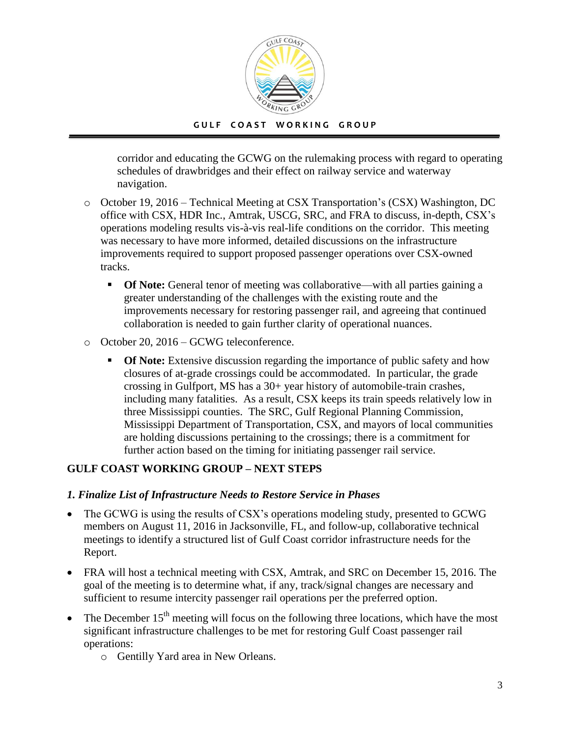

corridor and educating the GCWG on the rulemaking process with regard to operating schedules of drawbridges and their effect on railway service and waterway navigation.

- o October 19, 2016 Technical Meeting at CSX Transportation's (CSX) Washington, DC office with CSX, HDR Inc., Amtrak, USCG, SRC, and FRA to discuss, in-depth, CSX's operations modeling results vis-à-vis real-life conditions on the corridor. This meeting was necessary to have more informed, detailed discussions on the infrastructure improvements required to support proposed passenger operations over CSX-owned tracks.
	- **Of Note:** General tenor of meeting was collaborative—with all parties gaining a greater understanding of the challenges with the existing route and the improvements necessary for restoring passenger rail, and agreeing that continued collaboration is needed to gain further clarity of operational nuances.
- o October 20, 2016 GCWG teleconference.
	- **Of Note:** Extensive discussion regarding the importance of public safety and how closures of at-grade crossings could be accommodated. In particular, the grade crossing in Gulfport, MS has a 30+ year history of automobile-train crashes, including many fatalities. As a result, CSX keeps its train speeds relatively low in three Mississippi counties. The SRC, Gulf Regional Planning Commission, Mississippi Department of Transportation, CSX, and mayors of local communities are holding discussions pertaining to the crossings; there is a commitment for further action based on the timing for initiating passenger rail service.

# **GULF COAST WORKING GROUP – NEXT STEPS**

#### *1. Finalize List of Infrastructure Needs to Restore Service in Phases*

- The GCWG is using the results of CSX's operations modeling study, presented to GCWG members on August 11, 2016 in Jacksonville, FL, and follow-up, collaborative technical meetings to identify a structured list of Gulf Coast corridor infrastructure needs for the Report.
- FRA will host a technical meeting with CSX, Amtrak, and SRC on December 15, 2016. The goal of the meeting is to determine what, if any, track/signal changes are necessary and sufficient to resume intercity passenger rail operations per the preferred option.
- The December 15<sup>th</sup> meeting will focus on the following three locations, which have the most significant infrastructure challenges to be met for restoring Gulf Coast passenger rail operations:
	- o Gentilly Yard area in New Orleans.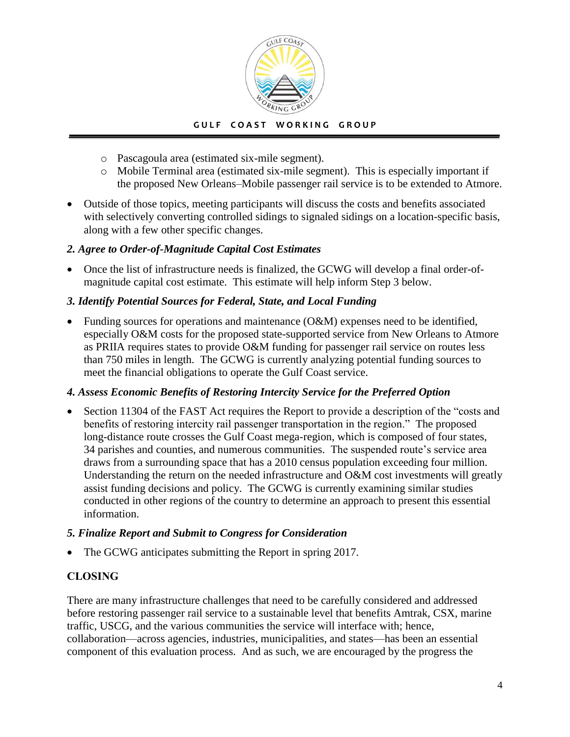

- o Pascagoula area (estimated six-mile segment).
- o Mobile Terminal area (estimated six-mile segment). This is especially important if the proposed New Orleans–Mobile passenger rail service is to be extended to Atmore.
- Outside of those topics, meeting participants will discuss the costs and benefits associated with selectively converting controlled sidings to signaled sidings on a location-specific basis, along with a few other specific changes.

## *2. Agree to Order-of-Magnitude Capital Cost Estimates*

 Once the list of infrastructure needs is finalized, the GCWG will develop a final order-ofmagnitude capital cost estimate. This estimate will help inform Step 3 below.

## *3. Identify Potential Sources for Federal, State, and Local Funding*

 Funding sources for operations and maintenance (O&M) expenses need to be identified, especially O&M costs for the proposed state-supported service from New Orleans to Atmore as PRIIA requires states to provide O&M funding for passenger rail service on routes less than 750 miles in length. The GCWG is currently analyzing potential funding sources to meet the financial obligations to operate the Gulf Coast service.

## *4. Assess Economic Benefits of Restoring Intercity Service for the Preferred Option*

 Section 11304 of the FAST Act requires the Report to provide a description of the "costs and benefits of restoring intercity rail passenger transportation in the region." The proposed long-distance route crosses the Gulf Coast mega-region, which is composed of four states, 34 parishes and counties, and numerous communities. The suspended route's service area draws from a surrounding space that has a 2010 census population exceeding four million. Understanding the return on the needed infrastructure and O&M cost investments will greatly assist funding decisions and policy. The GCWG is currently examining similar studies conducted in other regions of the country to determine an approach to present this essential information.

## *5. Finalize Report and Submit to Congress for Consideration*

The GCWG anticipates submitting the Report in spring 2017.

# **CLOSING**

There are many infrastructure challenges that need to be carefully considered and addressed before restoring passenger rail service to a sustainable level that benefits Amtrak, CSX, marine traffic, USCG, and the various communities the service will interface with; hence, collaboration—across agencies, industries, municipalities, and states—has been an essential component of this evaluation process. And as such, we are encouraged by the progress the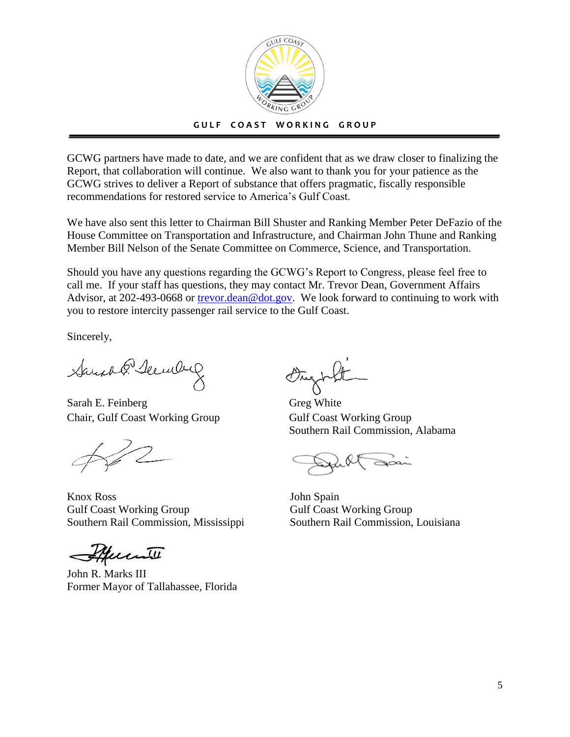

GCWG partners have made to date, and we are confident that as we draw closer to finalizing the Report, that collaboration will continue. We also want to thank you for your patience as the GCWG strives to deliver a Report of substance that offers pragmatic, fiscally responsible recommendations for restored service to America's Gulf Coast.

We have also sent this letter to Chairman Bill Shuster and Ranking Member Peter DeFazio of the House Committee on Transportation and Infrastructure, and Chairman John Thune and Ranking Member Bill Nelson of the Senate Committee on Commerce, Science, and Transportation.

Should you have any questions regarding the GCWG's Report to Congress, please feel free to call me. If your staff has questions, they may contact Mr. Trevor Dean, Government Affairs Advisor, at 202-493-0668 or [trevor.dean@dot.gov.](mailto:trevor.dean@dot.gov) We look forward to continuing to work with you to restore intercity passenger rail service to the Gulf Coast.

Sincerely,

Sand P. Secule

Sarah E. Feinberg Greg White Chair, Gulf Coast Working Group Gulf Coast Working Group

Knox Ross Gulf Coast Working Group Southern Rail Commission, Mississippi

Murill

John R. Marks III Former Mayor of Tallahassee, Florida

Southern Rail Commission, Alabama

John Spain Gulf Coast Working Group Southern Rail Commission, Louisiana